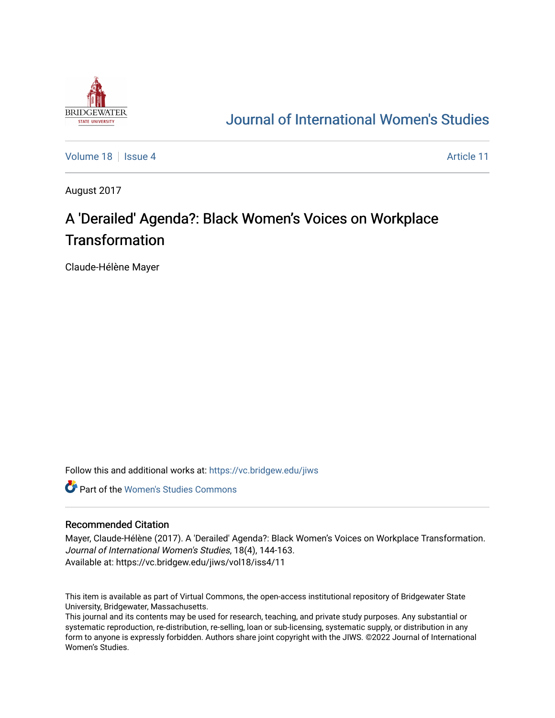

## [Journal of International Women's Studies](https://vc.bridgew.edu/jiws)

[Volume 18](https://vc.bridgew.edu/jiws/vol18) | [Issue 4](https://vc.bridgew.edu/jiws/vol18/iss4) Article 11

August 2017

# A 'Derailed' Agenda?: Black Women's Voices on Workplace **Transformation**

Claude-Hélène Mayer

Follow this and additional works at: [https://vc.bridgew.edu/jiws](https://vc.bridgew.edu/jiws?utm_source=vc.bridgew.edu%2Fjiws%2Fvol18%2Fiss4%2F11&utm_medium=PDF&utm_campaign=PDFCoverPages)

**C** Part of the Women's Studies Commons

### Recommended Citation

Mayer, Claude-Hélène (2017). A 'Derailed' Agenda?: Black Women's Voices on Workplace Transformation. Journal of International Women's Studies, 18(4), 144-163. Available at: https://vc.bridgew.edu/jiws/vol18/iss4/11

This item is available as part of Virtual Commons, the open-access institutional repository of Bridgewater State University, Bridgewater, Massachusetts.

This journal and its contents may be used for research, teaching, and private study purposes. Any substantial or systematic reproduction, re-distribution, re-selling, loan or sub-licensing, systematic supply, or distribution in any form to anyone is expressly forbidden. Authors share joint copyright with the JIWS. ©2022 Journal of International Women's Studies.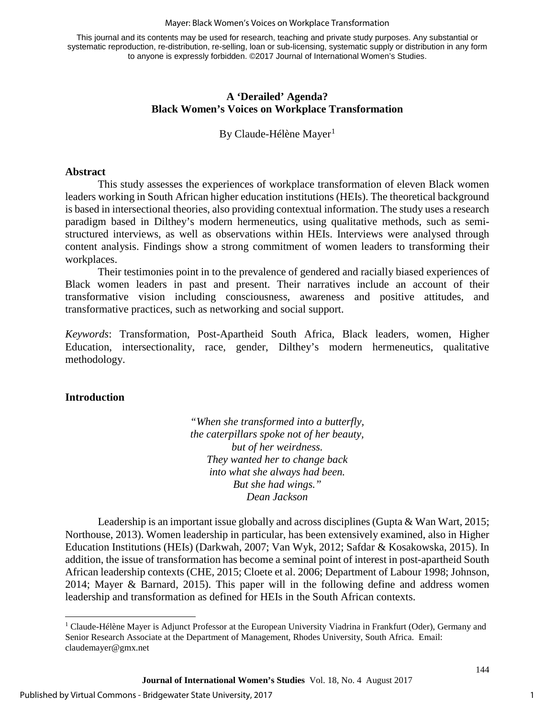#### Mayer: Black Women's Voices on Workplace Transformation

This journal and its contents may be used for research, teaching and private study purposes. Any substantial or systematic reproduction, re-distribution, re-selling, loan or sub-licensing, systematic supply or distribution in any form to anyone is expressly forbidden. ©2017 Journal of International Women's Studies.

## **A 'Derailed' Agenda? Black Women's Voices on Workplace Transformation**

By Claude-Hélène Mayer<sup>[1](#page-1-0)</sup>

## **Abstract**

This study assesses the experiences of workplace transformation of eleven Black women leaders working in South African higher education institutions (HEIs). The theoretical background is based in intersectional theories, also providing contextual information. The study uses a research paradigm based in Dilthey's modern hermeneutics, using qualitative methods, such as semistructured interviews, as well as observations within HEIs. Interviews were analysed through content analysis. Findings show a strong commitment of women leaders to transforming their workplaces.

Their testimonies point in to the prevalence of gendered and racially biased experiences of Black women leaders in past and present. Their narratives include an account of their transformative vision including consciousness, awareness and positive attitudes, and transformative practices, such as networking and social support.

*Keywords*: Transformation, Post-Apartheid South Africa, Black leaders, women, Higher Education, intersectionality, race, gender, Dilthey's modern hermeneutics, qualitative methodology.

## **Introduction**

*"When she transformed into a butterfly, the caterpillars spoke not of her beauty, but of her weirdness. They wanted her to change back into what she always had been. But she had wings." Dean Jackson* 

Leadership is an important issue globally and across disciplines (Gupta & Wan Wart, 2015; Northouse, 2013). Women leadership in particular, has been extensively examined, also in Higher Education Institutions (HEIs) (Darkwah, 2007; Van Wyk, 2012; Safdar & Kosakowska, 2015). In addition, the issue of transformation has become a seminal point of interest in post-apartheid South African leadership contexts (CHE, 2015; Cloete et al. 2006; Department of Labour 1998; Johnson, 2014; Mayer & Barnard, 2015). This paper will in the following define and address women leadership and transformation as defined for HEIs in the South African contexts.

<span id="page-1-0"></span> $\overline{\phantom{a}}$ <sup>1</sup> Claude-Hélène Mayer is Adjunct Professor at the European University Viadrina in Frankfurt (Oder), Germany and Senior Research Associate at the Department of Management, Rhodes University, South Africa. Email: [claudemayer@gmx.net](mailto:claudemayer@gmx.net)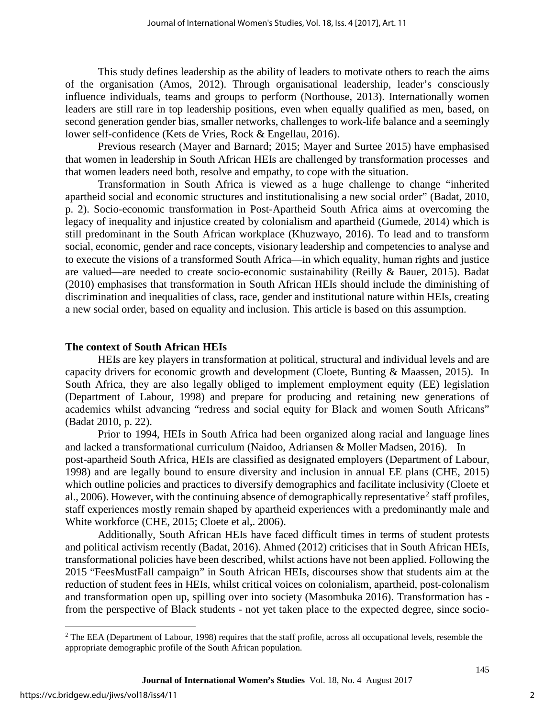This study defines leadership as the ability of leaders to motivate others to reach the aims of the organisation (Amos, 2012). Through organisational leadership, leader's consciously influence individuals, teams and groups to perform (Northouse, 2013). Internationally women leaders are still rare in top leadership positions, even when equally qualified as men, based, on second generation gender bias, smaller networks, challenges to work-life balance and a seemingly lower self-confidence (Kets de Vries, Rock & Engellau, 2016).

Previous research (Mayer and Barnard; 2015; Mayer and Surtee 2015) have emphasised that women in leadership in South African HEIs are challenged by transformation processes and that women leaders need both, resolve and empathy, to cope with the situation.

Transformation in South Africa is viewed as a huge challenge to change "inherited apartheid social and economic structures and institutionalising a new social order" (Badat, 2010, p. 2). Socio-economic transformation in Post-Apartheid South Africa aims at overcoming the legacy of inequality and injustice created by colonialism and apartheid (Gumede, 2014) which is still predominant in the South African workplace (Khuzwayo, 2016). To lead and to transform social, economic, gender and race concepts, visionary leadership and competencies to analyse and to execute the visions of a transformed South Africa—in which equality, human rights and justice are valued—are needed to create socio-economic sustainability (Reilly & Bauer, 2015). Badat (2010) emphasises that transformation in South African HEIs should include the diminishing of discrimination and inequalities of class, race, gender and institutional nature within HEIs, creating a new social order, based on equality and inclusion. This article is based on this assumption.

### **The context of South African HEIs**

HEIs are key players in transformation at political, structural and individual levels and are capacity drivers for economic growth and development (Cloete, Bunting & Maassen, 2015). In South Africa, they are also legally obliged to implement employment equity (EE) legislation (Department of Labour, 1998) and prepare for producing and retaining new generations of academics whilst advancing "redress and social equity for Black and women South Africans" (Badat 2010, p. 22).

Prior to 1994, HEIs in South Africa had been organized along racial and language lines and lacked a transformational curriculum (Naidoo, Adriansen & Moller Madsen, 2016). In post-apartheid South Africa, HEIs are classified as designated employers (Department of Labour, 1998) and are legally bound to ensure diversity and inclusion in annual EE plans (CHE, 2015) which outline policies and practices to diversify demographics and facilitate inclusivity (Cloete et al., [2](#page-2-0)006). However, with the continuing absence of demographically representative<sup>2</sup> staff profiles, staff experiences mostly remain shaped by apartheid experiences with a predominantly male and White workforce (CHE, 2015; Cloete et al,. 2006).

Additionally, South African HEIs have faced difficult times in terms of student protests and political activism recently (Badat, 2016). Ahmed (2012) criticises that in South African HEIs, transformational policies have been described, whilst actions have not been applied. Following the 2015 "FeesMustFall campaign" in South African HEIs, discourses show that students aim at the reduction of student fees in HEIs, whilst critical voices on colonialism, apartheid, post-colonalism and transformation open up, spilling over into society (Masombuka 2016). Transformation has from the perspective of Black students - not yet taken place to the expected degree, since socio-

<span id="page-2-0"></span> $\overline{a}$  $<sup>2</sup>$  The EEA (Department of Labour, 1998) requires that the staff profile, across all occupational levels, resemble the</sup> appropriate demographic profile of the South African population.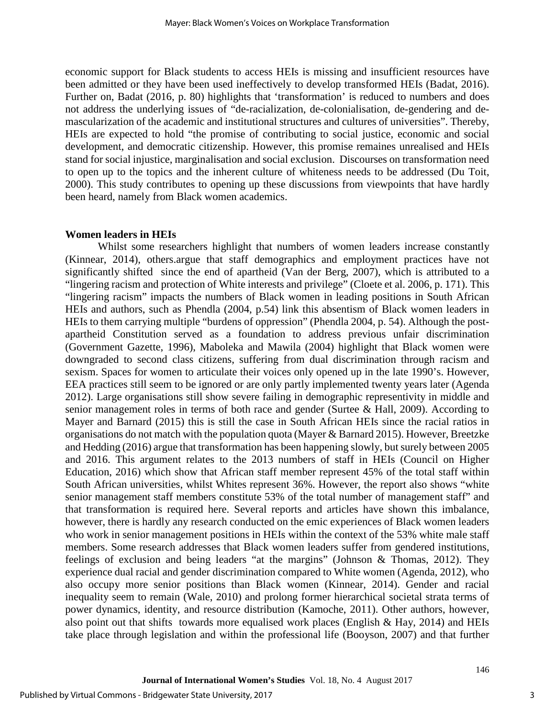economic support for Black students to access HEIs is missing and insufficient resources have been admitted or they have been used ineffectively to develop transformed HEIs (Badat, 2016). Further on, Badat (2016, p. 80) highlights that 'transformation' is reduced to numbers and does not address the underlying issues of "de-racialization, de-colonialisation, de-gendering and demascularization of the academic and institutional structures and cultures of universities". Thereby, HEIs are expected to hold "the promise of contributing to social justice, economic and social development, and democratic citizenship. However, this promise remaines unrealised and HEIs stand for social injustice, marginalisation and social exclusion. Discourses on transformation need to open up to the topics and the inherent culture of whiteness needs to be addressed (Du Toit, 2000). This study contributes to opening up these discussions from viewpoints that have hardly been heard, namely from Black women academics.

### **Women leaders in HEIs**

Whilst some researchers highlight that numbers of women leaders increase constantly (Kinnear, 2014), others.argue that staff demographics and employment practices have not significantly shifted since the end of apartheid (Van der Berg, 2007), which is attributed to a "lingering racism and protection of White interests and privilege" (Cloete et al. 2006, p. 171). This "lingering racism" impacts the numbers of Black women in leading positions in South African HEIs and authors, such as Phendla (2004, p.54) link this absentism of Black women leaders in HEIs to them carrying multiple "burdens of oppression" (Phendla 2004, p. 54). Although the postapartheid Constitution served as a foundation to address previous unfair discrimination (Government Gazette, 1996), Maboleka and Mawila (2004) highlight that Black women were downgraded to second class citizens, suffering from dual discrimination through racism and sexism. Spaces for women to articulate their voices only opened up in the late 1990's. However, EEA practices still seem to be ignored or are only partly implemented twenty years later (Agenda 2012). Large organisations still show severe failing in demographic representivity in middle and senior management roles in terms of both race and gender (Surtee & Hall, 2009). According to Mayer and Barnard (2015) this is still the case in South African HEIs since the racial ratios in organisations do not match with the population quota (Mayer & Barnard 2015). However, Breetzke and Hedding (2016) argue that transformation has been happening slowly, but surely between 2005 and 2016. This argument relates to the 2013 numbers of staff in HEIs (Council on Higher Education, 2016) which show that African staff member represent 45% of the total staff within South African universities, whilst Whites represent 36%. However, the report also shows "white senior management staff members constitute 53% of the total number of management staff" and that transformation is required here. Several reports and articles have shown this imbalance, however, there is hardly any research conducted on the emic experiences of Black women leaders who work in senior management positions in HEIs within the context of the 53% white male staff members. Some research addresses that Black women leaders suffer from gendered institutions, feelings of exclusion and being leaders "at the margins" (Johnson & Thomas, 2012). They experience dual racial and gender discrimination compared to White women (Agenda, 2012), who also occupy more senior positions than Black women (Kinnear, 2014). Gender and racial inequality seem to remain (Wale, 2010) and prolong former hierarchical societal strata terms of power dynamics, identity, and resource distribution (Kamoche, 2011). Other authors, however, also point out that shifts towards more equalised work places (English  $\&$  Hay, 2014) and HEIs take place through legislation and within the professional life (Booyson, 2007) and that further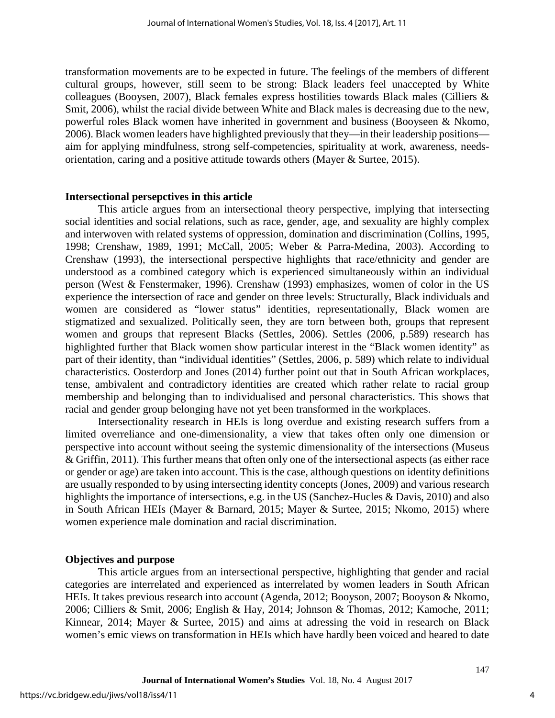transformation movements are to be expected in future. The feelings of the members of different cultural groups, however, still seem to be strong: Black leaders feel unaccepted by White colleagues (Booysen, 2007), Black females express hostilities towards Black males (Cilliers & Smit, 2006), whilst the racial divide between White and Black males is decreasing due to the new, powerful roles Black women have inherited in government and business (Booyseen & Nkomo, 2006). Black women leaders have highlighted previously that they—in their leadership positions aim for applying mindfulness, strong self-competencies, spirituality at work, awareness, needsorientation, caring and a positive attitude towards others (Mayer & Surtee, 2015).

### **Intersectional persepctives in this article**

This article argues from an intersectional theory perspective, implying that intersecting social identities and social relations, such as race, gender, age, and sexuality are highly complex and interwoven with related systems of oppression, domination and discrimination (Collins, 1995, 1998; Crenshaw, 1989, 1991; McCall, 2005; Weber & Parra-Medina, 2003). According to Crenshaw (1993), the intersectional perspective highlights that race/ethnicity and gender are understood as a combined category which is experienced simultaneously within an individual person (West & Fenstermaker, 1996). Crenshaw (1993) emphasizes, women of color in the US experience the intersection of race and gender on three levels: Structurally, Black individuals and women are considered as "lower status" identities, representationally, Black women are stigmatized and sexualized. Politically seen, they are torn between both, groups that represent women and groups that represent Blacks (Settles, 2006). Settles (2006, p.589) research has highlighted further that Black women show particular interest in the "Black women identity" as part of their identity, than "individual identities" (Settles, 2006, p. 589) which relate to individual characteristics. Oosterdorp and Jones (2014) further point out that in South African workplaces, tense, ambivalent and contradictory identities are created which rather relate to racial group membership and belonging than to individualised and personal characteristics. This shows that racial and gender group belonging have not yet been transformed in the workplaces.

Intersectionality research in HEIs is long overdue and existing research suffers from a limited overreliance and one-dimensionality, a view that takes often only one dimension or perspective into account without seeing the systemic dimensionality of the intersections (Museus & Griffin, 2011). This further means that often only one of the intersectional aspects (as either race or gender or age) are taken into account. This is the case, although questions on identity definitions are usually responded to by using intersecting identity concepts (Jones, 2009) and various research highlights the importance of intersections, e.g. in the US (Sanchez-Hucles & Davis, 2010) and also in South African HEIs (Mayer & Barnard, 2015; Mayer & Surtee, 2015; Nkomo, 2015) where women experience male domination and racial discrimination.

## **Objectives and purpose**

This article argues from an intersectional perspective, highlighting that gender and racial categories are interrelated and experienced as interrelated by women leaders in South African HEIs. It takes previous research into account (Agenda, 2012; Booyson, 2007; Booyson & Nkomo, 2006; Cilliers & Smit, 2006; English & Hay, 2014; Johnson & Thomas, 2012; Kamoche, 2011; Kinnear, 2014; Mayer & Surtee, 2015) and aims at adressing the void in research on Black women's emic views on transformation in HEIs which have hardly been voiced and heared to date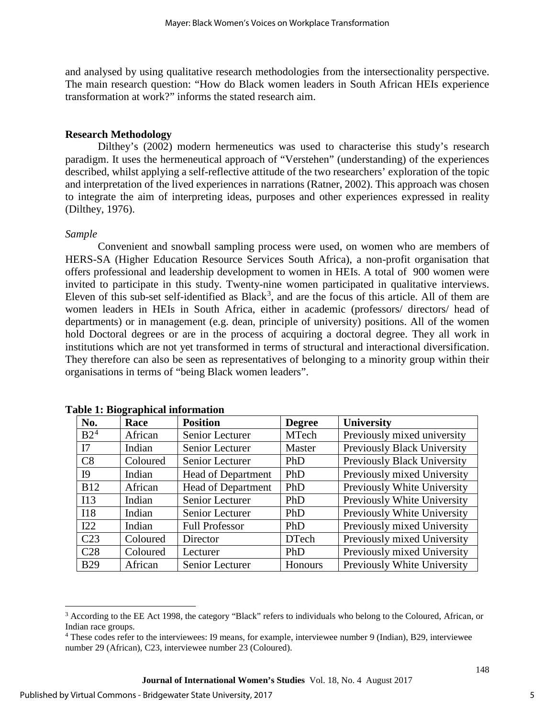and analysed by using qualitative research methodologies from the intersectionality perspective. The main research question: "How do Black women leaders in South African HEIs experience transformation at work?" informs the stated research aim.

## **Research Methodology**

Dilthey's (2002) modern hermeneutics was used to characterise this study's research paradigm. It uses the hermeneutical approach of "Verstehen" (understanding) of the experiences described, whilst applying a self-reflective attitude of the two researchers' exploration of the topic and interpretation of the lived experiences in narrations (Ratner, 2002). This approach was chosen to integrate the aim of interpreting ideas, purposes and other experiences expressed in reality (Dilthey, 1976).

### *Sample*

Convenient and snowball sampling process were used, on women who are members of HERS-SA (Higher Education Resource Services South Africa), a non-profit organisation that offers professional and leadership development to women in HEIs. A total of 900 women were invited to participate in this study. Twenty-nine women participated in qualitative interviews. Eleven of this sub-set self-identified as Black<sup>[3](#page-5-0)</sup>, and are the focus of this article. All of them are women leaders in HEIs in South Africa, either in academic (professors/ directors/ head of departments) or in management (e.g. dean, principle of university) positions. All of the women hold Doctoral degrees or are in the process of acquiring a doctoral degree. They all work in institutions which are not yet transformed in terms of structural and interactional diversification. They therefore can also be seen as representatives of belonging to a minority group within their organisations in terms of "being Black women leaders".

| No.             | Race     | <b>Position</b>           | <b>Degree</b> | University                         |
|-----------------|----------|---------------------------|---------------|------------------------------------|
| B2 <sup>4</sup> | African  | Senior Lecturer           | <b>MTech</b>  | Previously mixed university        |
| I7              | Indian   | Senior Lecturer           | Master        | <b>Previously Black University</b> |
| C8              | Coloured | Senior Lecturer           | PhD           | <b>Previously Black University</b> |
| I9              | Indian   | Head of Department        | PhD           | Previously mixed University        |
| <b>B12</b>      | African  | <b>Head of Department</b> | PhD           | Previously White University        |
| I13             | Indian   | Senior Lecturer           | PhD           | Previously White University        |
| I18             | Indian   | Senior Lecturer           | PhD           | Previously White University        |
| I22             | Indian   | <b>Full Professor</b>     | PhD           | Previously mixed University        |
| C <sub>23</sub> | Coloured | Director                  | <b>DTech</b>  | Previously mixed University        |
| C <sub>28</sub> | Coloured | Lecturer                  | <b>PhD</b>    | Previously mixed University        |
| <b>B29</b>      | African  | Senior Lecturer           | Honours       | Previously White University        |

### **Table 1: Biographical information**

<span id="page-5-0"></span> $\overline{a}$  $3$  According to the EE Act 1998, the category "Black" refers to individuals who belong to the Coloured, African, or Indian race groups.

<span id="page-5-1"></span><sup>4</sup> These codes refer to the interviewees: I9 means, for example, interviewee number 9 (Indian), B29, interviewee number 29 (African), C23, interviewee number 23 (Coloured).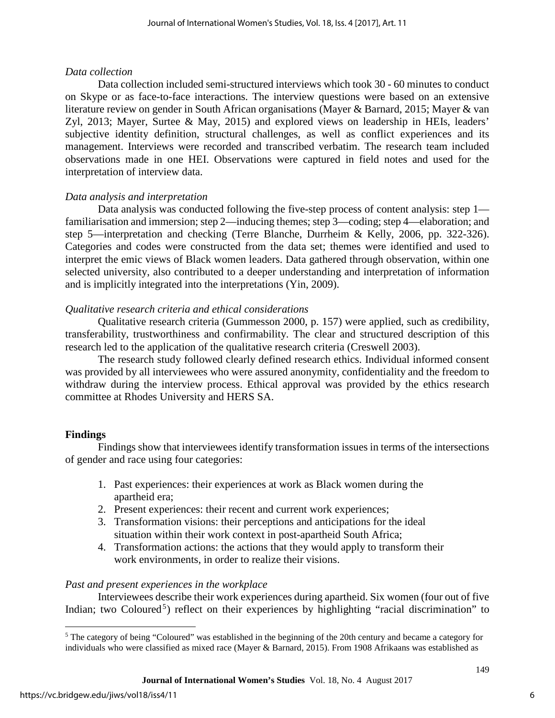## *Data collection*

Data collection included semi-structured interviews which took 30 - 60 minutes to conduct on Skype or as face-to-face interactions. The interview questions were based on an extensive literature review on gender in South African organisations (Mayer & Barnard, 2015; Mayer & van Zyl, 2013; Mayer, Surtee & May, 2015) and explored views on leadership in HEIs, leaders' subjective identity definition, structural challenges, as well as conflict experiences and its management. Interviews were recorded and transcribed verbatim. The research team included observations made in one HEI. Observations were captured in field notes and used for the interpretation of interview data.

## *Data analysis and interpretation*

Data analysis was conducted following the five-step process of content analysis: step 1 familiarisation and immersion; step 2—inducing themes; step 3—coding; step 4—elaboration; and step 5—interpretation and checking (Terre Blanche, Durrheim & Kelly, 2006, pp. 322-326). Categories and codes were constructed from the data set; themes were identified and used to interpret the emic views of Black women leaders. Data gathered through observation, within one selected university, also contributed to a deeper understanding and interpretation of information and is implicitly integrated into the interpretations (Yin, 2009).

## *Qualitative research criteria and ethical considerations*

Qualitative research criteria (Gummesson 2000, p. 157) were applied, such as credibility, transferability, trustworthiness and confirmability. The clear and structured description of this research led to the application of the qualitative research criteria (Creswell 2003).

The research study followed clearly defined research ethics. Individual informed consent was provided by all interviewees who were assured anonymity, confidentiality and the freedom to withdraw during the interview process. Ethical approval was provided by the ethics research committee at Rhodes University and HERS SA.

## **Findings**

Findings show that interviewees identify transformation issues in terms of the intersections of gender and race using four categories:

- 1. Past experiences: their experiences at work as Black women during the apartheid era;
- 2. Present experiences: their recent and current work experiences;
- 3. Transformation visions: their perceptions and anticipations for the ideal situation within their work context in post-apartheid South Africa;
- 4. Transformation actions: the actions that they would apply to transform their work environments, in order to realize their visions.

## *Past and present experiences in the workplace*

Interviewees describe their work experiences during apartheid. Six women (four out of five Indian; two Coloured<sup>[5](#page-6-0)</sup>) reflect on their experiences by highlighting "racial discrimination" to

<span id="page-6-0"></span> $\overline{\phantom{a}}$  $<sup>5</sup>$  The category of being "Coloured" was established in the beginning of the 20th century and became a category for</sup> individuals who were classified as mixed race (Mayer & Barnard, 2015). From 1908 Afrikaans was established as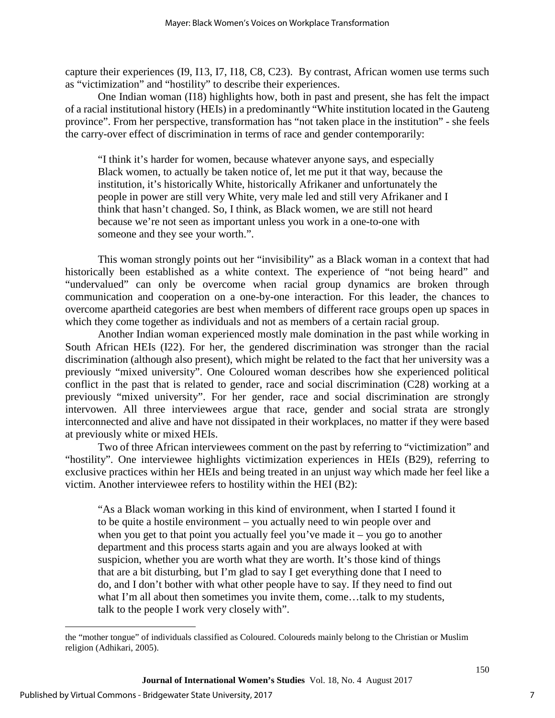capture their experiences (I9, I13, I7, I18, C8, C23). By contrast, African women use terms such as "victimization" and "hostility" to describe their experiences.

One Indian woman (I18) highlights how, both in past and present, she has felt the impact of a racial institutional history (HEIs) in a predominantly "White institution located in the Gauteng province". From her perspective, transformation has "not taken place in the institution" - she feels the carry-over effect of discrimination in terms of race and gender contemporarily:

"I think it's harder for women, because whatever anyone says, and especially Black women, to actually be taken notice of, let me put it that way, because the institution, it's historically White, historically Afrikaner and unfortunately the people in power are still very White, very male led and still very Afrikaner and I think that hasn't changed. So, I think, as Black women, we are still not heard because we're not seen as important unless you work in a one-to-one with someone and they see your worth.".

This woman strongly points out her "invisibility" as a Black woman in a context that had historically been established as a white context. The experience of "not being heard" and "undervalued" can only be overcome when racial group dynamics are broken through communication and cooperation on a one-by-one interaction. For this leader, the chances to overcome apartheid categories are best when members of different race groups open up spaces in which they come together as individuals and not as members of a certain racial group.

Another Indian woman experienced mostly male domination in the past while working in South African HEIs (I22). For her, the gendered discrimination was stronger than the racial discrimination (although also present), which might be related to the fact that her university was a previously "mixed university". One Coloured woman describes how she experienced political conflict in the past that is related to gender, race and social discrimination (C28) working at a previously "mixed university". For her gender, race and social discrimination are strongly intervowen. All three interviewees argue that race, gender and social strata are strongly interconnected and alive and have not dissipated in their workplaces, no matter if they were based at previously white or mixed HEIs.

Two of three African interviewees comment on the past by referring to "victimization" and "hostility". One interviewee highlights victimization experiences in HEIs (B29), referring to exclusive practices within her HEIs and being treated in an unjust way which made her feel like a victim. Another interviewee refers to hostility within the HEI (B2):

"As a Black woman working in this kind of environment, when I started I found it to be quite a hostile environment – you actually need to win people over and when you get to that point you actually feel you've made  $it -$ you go to another department and this process starts again and you are always looked at with suspicion, whether you are worth what they are worth. It's those kind of things that are a bit disturbing, but I'm glad to say I get everything done that I need to do, and I don't bother with what other people have to say. If they need to find out what I'm all about then sometimes you invite them, come...talk to my students, talk to the people I work very closely with".

i<br>I the "mother tongue" of individuals classified as Coloured. Coloureds mainly belong to the Christian or Muslim religion (Adhikari, 2005).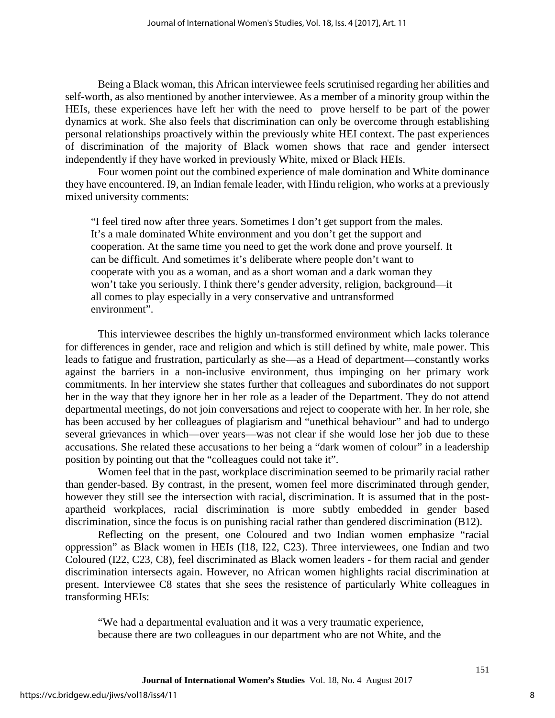Being a Black woman, this African interviewee feels scrutinised regarding her abilities and self-worth, as also mentioned by another interviewee. As a member of a minority group within the HEIs, these experiences have left her with the need to prove herself to be part of the power dynamics at work. She also feels that discrimination can only be overcome through establishing personal relationships proactively within the previously white HEI context. The past experiences of discrimination of the majority of Black women shows that race and gender intersect independently if they have worked in previously White, mixed or Black HEIs.

Four women point out the combined experience of male domination and White dominance they have encountered. I9, an Indian female leader, with Hindu religion, who works at a previously mixed university comments:

"I feel tired now after three years. Sometimes I don't get support from the males. It's a male dominated White environment and you don't get the support and cooperation. At the same time you need to get the work done and prove yourself. It can be difficult. And sometimes it's deliberate where people don't want to cooperate with you as a woman, and as a short woman and a dark woman they won't take you seriously. I think there's gender adversity, religion, background—it all comes to play especially in a very conservative and untransformed environment".

This interviewee describes the highly un-transformed environment which lacks tolerance for differences in gender, race and religion and which is still defined by white, male power. This leads to fatigue and frustration, particularly as she—as a Head of department—constantly works against the barriers in a non-inclusive environment, thus impinging on her primary work commitments. In her interview she states further that colleagues and subordinates do not support her in the way that they ignore her in her role as a leader of the Department. They do not attend departmental meetings, do not join conversations and reject to cooperate with her. In her role, she has been accused by her colleagues of plagiarism and "unethical behaviour" and had to undergo several grievances in which—over years—was not clear if she would lose her job due to these accusations. She related these accusations to her being a "dark women of colour" in a leadership position by pointing out that the "colleagues could not take it".

Women feel that in the past, workplace discrimination seemed to be primarily racial rather than gender-based. By contrast, in the present, women feel more discriminated through gender, however they still see the intersection with racial, discrimination. It is assumed that in the postapartheid workplaces, racial discrimination is more subtly embedded in gender based discrimination, since the focus is on punishing racial rather than gendered discrimination (B12).

Reflecting on the present, one Coloured and two Indian women emphasize "racial oppression" as Black women in HEIs (I18, I22, C23). Three interviewees, one Indian and two Coloured (I22, C23, C8), feel discriminated as Black women leaders - for them racial and gender discrimination intersects again. However, no African women highlights racial discrimination at present. Interviewee C8 states that she sees the resistence of particularly White colleagues in transforming HEIs:

"We had a departmental evaluation and it was a very traumatic experience, because there are two colleagues in our department who are not White, and the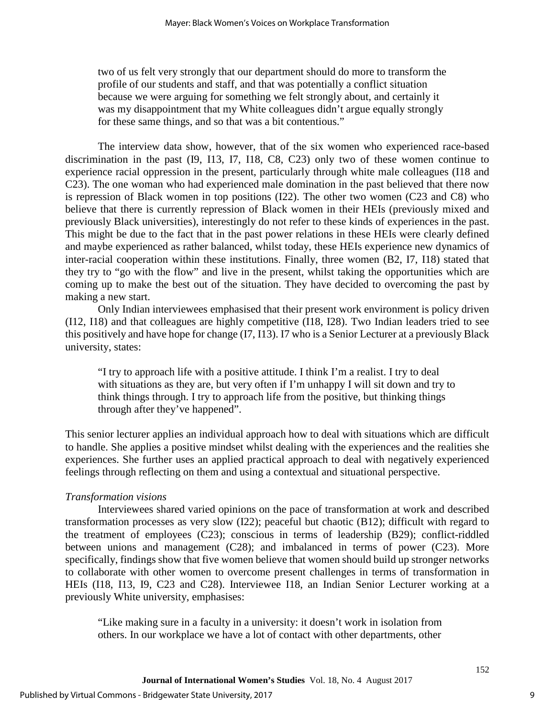two of us felt very strongly that our department should do more to transform the profile of our students and staff, and that was potentially a conflict situation because we were arguing for something we felt strongly about, and certainly it was my disappointment that my White colleagues didn't argue equally strongly for these same things, and so that was a bit contentious."

The interview data show, however, that of the six women who experienced race-based discrimination in the past (I9, I13, I7, I18, C8, C23) only two of these women continue to experience racial oppression in the present, particularly through white male colleagues (I18 and C23). The one woman who had experienced male domination in the past believed that there now is repression of Black women in top positions (I22). The other two women (C23 and C8) who believe that there is currently repression of Black women in their HEIs (previously mixed and previously Black universities), interestingly do not refer to these kinds of experiences in the past. This might be due to the fact that in the past power relations in these HEIs were clearly defined and maybe experienced as rather balanced, whilst today, these HEIs experience new dynamics of inter-racial cooperation within these institutions. Finally, three women (B2, I7, I18) stated that they try to "go with the flow" and live in the present, whilst taking the opportunities which are coming up to make the best out of the situation. They have decided to overcoming the past by making a new start.

Only Indian interviewees emphasised that their present work environment is policy driven (I12, I18) and that colleagues are highly competitive (I18, I28). Two Indian leaders tried to see this positively and have hope for change (I7, I13). I7 who is a Senior Lecturer at a previously Black university, states:

"I try to approach life with a positive attitude. I think I'm a realist. I try to deal with situations as they are, but very often if I'm unhappy I will sit down and try to think things through. I try to approach life from the positive, but thinking things through after they've happened".

This senior lecturer applies an individual approach how to deal with situations which are difficult to handle. She applies a positive mindset whilst dealing with the experiences and the realities she experiences. She further uses an applied practical approach to deal with negatively experienced feelings through reflecting on them and using a contextual and situational perspective.

### *Transformation visions*

Interviewees shared varied opinions on the pace of transformation at work and described transformation processes as very slow (I22); peaceful but chaotic (B12); difficult with regard to the treatment of employees (C23); conscious in terms of leadership (B29); conflict-riddled between unions and management (C28); and imbalanced in terms of power (C23). More specifically, findings show that five women believe that women should build up stronger networks to collaborate with other women to overcome present challenges in terms of transformation in HEIs (I18, I13, I9, C23 and C28). Interviewee I18, an Indian Senior Lecturer working at a previously White university, emphasises:

"Like making sure in a faculty in a university: it doesn't work in isolation from others. In our workplace we have a lot of contact with other departments, other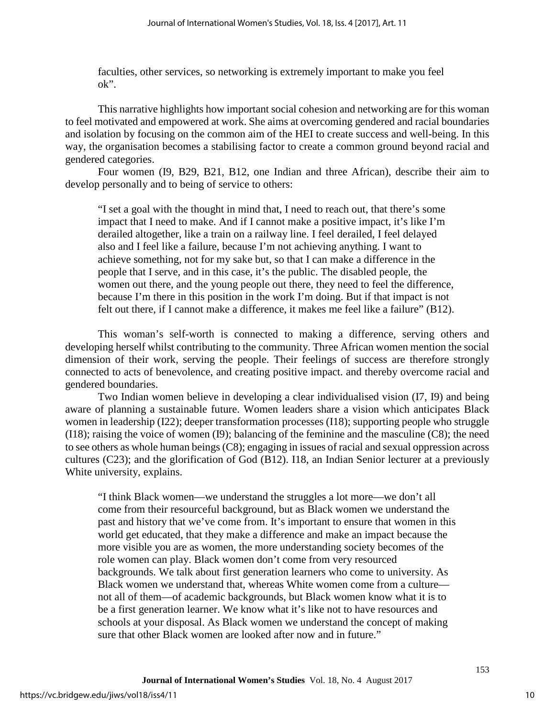faculties, other services, so networking is extremely important to make you feel ok".

This narrative highlights how important social cohesion and networking are for this woman to feel motivated and empowered at work. She aims at overcoming gendered and racial boundaries and isolation by focusing on the common aim of the HEI to create success and well-being. In this way, the organisation becomes a stabilising factor to create a common ground beyond racial and gendered categories.

Four women (I9, B29, B21, B12, one Indian and three African), describe their aim to develop personally and to being of service to others:

"I set a goal with the thought in mind that, I need to reach out, that there's some impact that I need to make. And if I cannot make a positive impact, it's like I'm derailed altogether, like a train on a railway line. I feel derailed, I feel delayed also and I feel like a failure, because I'm not achieving anything. I want to achieve something, not for my sake but, so that I can make a difference in the people that I serve, and in this case, it's the public. The disabled people, the women out there, and the young people out there, they need to feel the difference, because I'm there in this position in the work I'm doing. But if that impact is not felt out there, if I cannot make a difference, it makes me feel like a failure" (B12).

This woman's self-worth is connected to making a difference, serving others and developing herself whilst contributing to the community. Three African women mention the social dimension of their work, serving the people. Their feelings of success are therefore strongly connected to acts of benevolence, and creating positive impact. and thereby overcome racial and gendered boundaries.

Two Indian women believe in developing a clear individualised vision (I7, I9) and being aware of planning a sustainable future. Women leaders share a vision which anticipates Black women in leadership (I22); deeper transformation processes (I18); supporting people who struggle (I18); raising the voice of women (I9); balancing of the feminine and the masculine (C8); the need to see others as whole human beings (C8); engaging in issues of racial and sexual oppression across cultures (C23); and the glorification of God (B12). I18, an Indian Senior lecturer at a previously White university, explains.

"I think Black women—we understand the struggles a lot more—we don't all come from their resourceful background, but as Black women we understand the past and history that we've come from. It's important to ensure that women in this world get educated, that they make a difference and make an impact because the more visible you are as women, the more understanding society becomes of the role women can play. Black women don't come from very resourced backgrounds. We talk about first generation learners who come to university. As Black women we understand that, whereas White women come from a culture not all of them—of academic backgrounds, but Black women know what it is to be a first generation learner. We know what it's like not to have resources and schools at your disposal. As Black women we understand the concept of making sure that other Black women are looked after now and in future."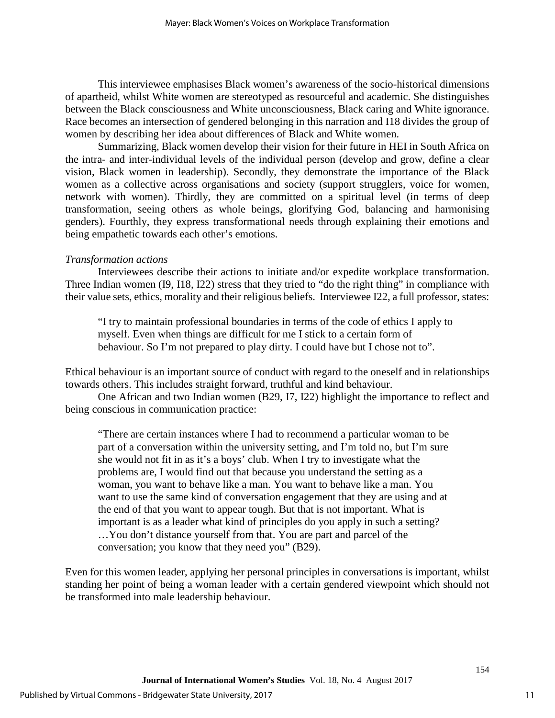This interviewee emphasises Black women's awareness of the socio-historical dimensions of apartheid, whilst White women are stereotyped as resourceful and academic. She distinguishes between the Black consciousness and White unconsciousness, Black caring and White ignorance. Race becomes an intersection of gendered belonging in this narration and I18 divides the group of women by describing her idea about differences of Black and White women.

Summarizing, Black women develop their vision for their future in HEI in South Africa on the intra- and inter-individual levels of the individual person (develop and grow, define a clear vision, Black women in leadership). Secondly, they demonstrate the importance of the Black women as a collective across organisations and society (support strugglers, voice for women, network with women). Thirdly, they are committed on a spiritual level (in terms of deep transformation, seeing others as whole beings, glorifying God, balancing and harmonising genders). Fourthly, they express transformational needs through explaining their emotions and being empathetic towards each other's emotions.

#### *Transformation actions*

Interviewees describe their actions to initiate and/or expedite workplace transformation. Three Indian women (I9, I18, I22) stress that they tried to "do the right thing" in compliance with their value sets, ethics, morality and their religious beliefs. Interviewee I22, a full professor, states:

"I try to maintain professional boundaries in terms of the code of ethics I apply to myself. Even when things are difficult for me I stick to a certain form of behaviour. So I'm not prepared to play dirty. I could have but I chose not to".

Ethical behaviour is an important source of conduct with regard to the oneself and in relationships towards others. This includes straight forward, truthful and kind behaviour.

One African and two Indian women (B29, I7, I22) highlight the importance to reflect and being conscious in communication practice:

"There are certain instances where I had to recommend a particular woman to be part of a conversation within the university setting, and I'm told no, but I'm sure she would not fit in as it's a boys' club. When I try to investigate what the problems are, I would find out that because you understand the setting as a woman, you want to behave like a man. You want to behave like a man. You want to use the same kind of conversation engagement that they are using and at the end of that you want to appear tough. But that is not important. What is important is as a leader what kind of principles do you apply in such a setting? …You don't distance yourself from that. You are part and parcel of the conversation; you know that they need you" (B29).

Even for this women leader, applying her personal principles in conversations is important, whilst standing her point of being a woman leader with a certain gendered viewpoint which should not be transformed into male leadership behaviour.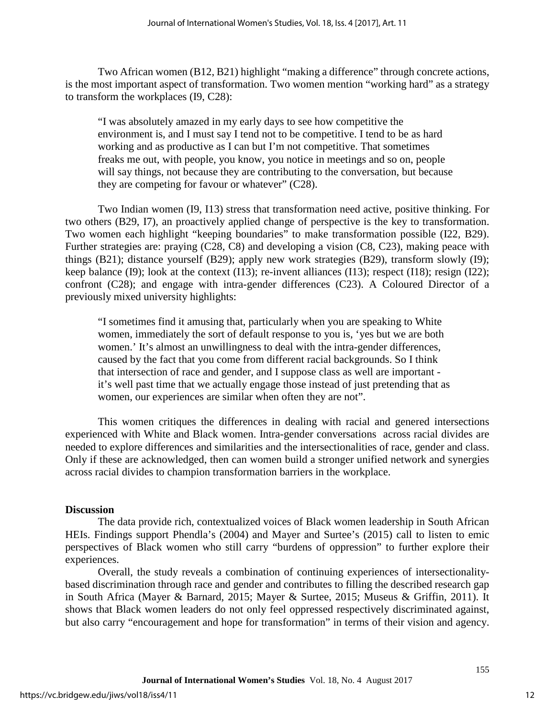Two African women (B12, B21) highlight "making a difference" through concrete actions, is the most important aspect of transformation. Two women mention "working hard" as a strategy to transform the workplaces (I9, C28):

"I was absolutely amazed in my early days to see how competitive the environment is, and I must say I tend not to be competitive. I tend to be as hard working and as productive as I can but I'm not competitive. That sometimes freaks me out, with people, you know, you notice in meetings and so on, people will say things, not because they are contributing to the conversation, but because they are competing for favour or whatever" (C28).

Two Indian women (I9, I13) stress that transformation need active, positive thinking. For two others (B29, I7), an proactively applied change of perspective is the key to transformation. Two women each highlight "keeping boundaries" to make transformation possible (I22, B29). Further strategies are: praying (C28, C8) and developing a vision (C8, C23), making peace with things (B21); distance yourself (B29); apply new work strategies (B29), transform slowly (I9); keep balance (I9); look at the context (I13); re-invent alliances (I13); respect (I18); resign (I22); confront (C28); and engage with intra-gender differences (C23). A Coloured Director of a previously mixed university highlights:

"I sometimes find it amusing that, particularly when you are speaking to White women, immediately the sort of default response to you is, 'yes but we are both women.' It's almost an unwillingness to deal with the intra-gender differences, caused by the fact that you come from different racial backgrounds. So I think that intersection of race and gender, and I suppose class as well are important it's well past time that we actually engage those instead of just pretending that as women, our experiences are similar when often they are not".

This women critiques the differences in dealing with racial and genered intersections experienced with White and Black women. Intra-gender conversations across racial divides are needed to explore differences and similarities and the intersectionalities of race, gender and class. Only if these are acknowledged, then can women build a stronger unified network and synergies across racial divides to champion transformation barriers in the workplace.

### **Discussion**

The data provide rich, contextualized voices of Black women leadership in South African HEIs. Findings support Phendla's (2004) and Mayer and Surtee's (2015) call to listen to emic perspectives of Black women who still carry "burdens of oppression" to further explore their experiences.

Overall, the study reveals a combination of continuing experiences of intersectionalitybased discrimination through race and gender and contributes to filling the described research gap in South Africa (Mayer & Barnard, 2015; Mayer & Surtee, 2015; Museus & Griffin, 2011). It shows that Black women leaders do not only feel oppressed respectively discriminated against, but also carry "encouragement and hope for transformation" in terms of their vision and agency.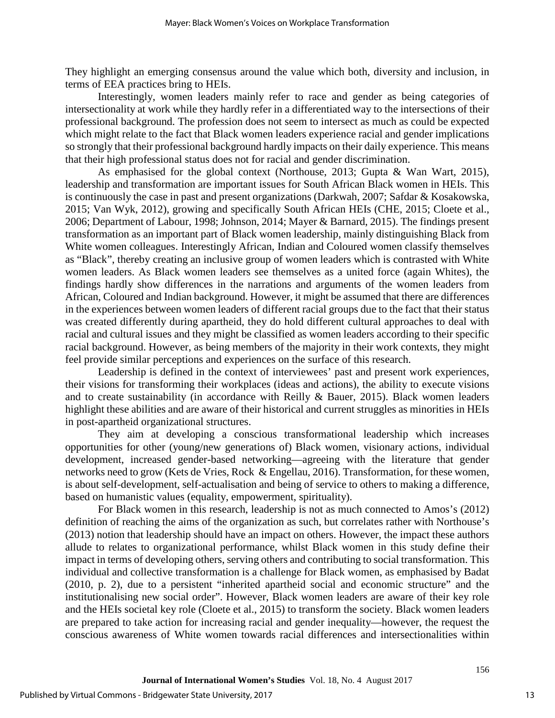They highlight an emerging consensus around the value which both, diversity and inclusion, in terms of EEA practices bring to HEIs.

Interestingly, women leaders mainly refer to race and gender as being categories of intersectionality at work while they hardly refer in a differentiated way to the intersections of their professional background. The profession does not seem to intersect as much as could be expected which might relate to the fact that Black women leaders experience racial and gender implications so strongly that their professional background hardly impacts on their daily experience. This means that their high professional status does not for racial and gender discrimination.

As emphasised for the global context (Northouse, 2013; Gupta & Wan Wart, 2015), leadership and transformation are important issues for South African Black women in HEIs. This is continuously the case in past and present organizations (Darkwah, 2007; Safdar & Kosakowska, 2015; Van Wyk, 2012), growing and specifically South African HEIs (CHE, 2015; Cloete et al., 2006; Department of Labour, 1998; Johnson, 2014; Mayer & Barnard, 2015). The findings present transformation as an important part of Black women leadership, mainly distinguishing Black from White women colleagues. Interestingly African, Indian and Coloured women classify themselves as "Black", thereby creating an inclusive group of women leaders which is contrasted with White women leaders. As Black women leaders see themselves as a united force (again Whites), the findings hardly show differences in the narrations and arguments of the women leaders from African, Coloured and Indian background. However, it might be assumed that there are differences in the experiences between women leaders of different racial groups due to the fact that their status was created differently during apartheid, they do hold different cultural approaches to deal with racial and cultural issues and they might be classified as women leaders according to their specific racial background. However, as being members of the majority in their work contexts, they might feel provide similar perceptions and experiences on the surface of this research.

Leadership is defined in the context of interviewees' past and present work experiences, their visions for transforming their workplaces (ideas and actions), the ability to execute visions and to create sustainability (in accordance with Reilly & Bauer, 2015). Black women leaders highlight these abilities and are aware of their historical and current struggles as minorities in HEIs in post-apartheid organizational structures.

They aim at developing a conscious transformational leadership which increases opportunities for other (young/new generations of) Black women, visionary actions, individual development, increased gender-based networking—agreeing with the literature that gender networks need to grow (Kets de Vries, Rock & Engellau, 2016). Transformation, for these women, is about self-development, self-actualisation and being of service to others to making a difference, based on humanistic values (equality, empowerment, spirituality).

For Black women in this research, leadership is not as much connected to Amos's (2012) definition of reaching the aims of the organization as such, but correlates rather with Northouse's (2013) notion that leadership should have an impact on others. However, the impact these authors allude to relates to organizational performance, whilst Black women in this study define their impact in terms of developing others, serving others and contributing to social transformation. This individual and collective transformation is a challenge for Black women, as emphasised by Badat (2010, p. 2), due to a persistent "inherited apartheid social and economic structure" and the institutionalising new social order". However, Black women leaders are aware of their key role and the HEIs societal key role (Cloete et al., 2015) to transform the society. Black women leaders are prepared to take action for increasing racial and gender inequality—however, the request the conscious awareness of White women towards racial differences and intersectionalities within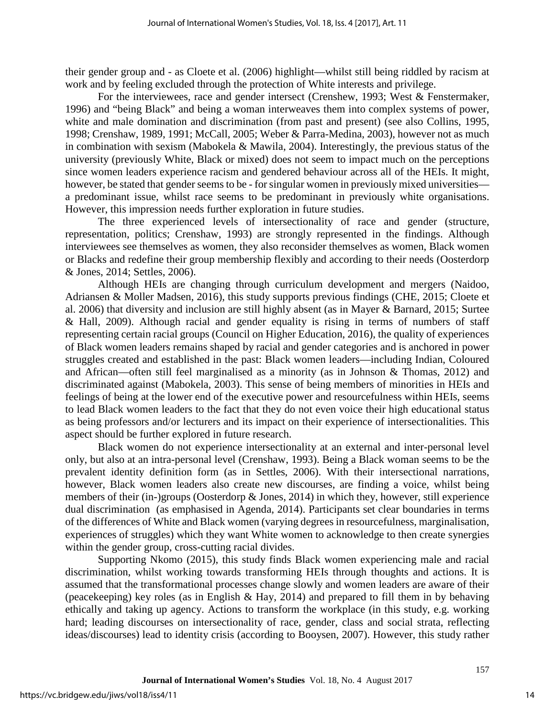their gender group and - as Cloete et al. (2006) highlight—whilst still being riddled by racism at work and by feeling excluded through the protection of White interests and privilege.

For the interviewees, race and gender intersect (Crenshew, 1993; West & Fenstermaker, 1996) and "being Black" and being a woman interweaves them into complex systems of power, white and male domination and discrimination (from past and present) (see also Collins, 1995, 1998; Crenshaw, 1989, 1991; McCall, 2005; Weber & Parra-Medina, 2003), however not as much in combination with sexism (Mabokela & Mawila, 2004). Interestingly, the previous status of the university (previously White, Black or mixed) does not seem to impact much on the perceptions since women leaders experience racism and gendered behaviour across all of the HEIs. It might, however, be stated that gender seems to be - for singular women in previously mixed universities a predominant issue, whilst race seems to be predominant in previously white organisations. However, this impression needs further exploration in future studies.

The three experienced levels of intersectionality of race and gender (structure, representation, politics; Crenshaw, 1993) are strongly represented in the findings. Although interviewees see themselves as women, they also reconsider themselves as women, Black women or Blacks and redefine their group membership flexibly and according to their needs (Oosterdorp & Jones, 2014; Settles, 2006).

Although HEIs are changing through curriculum development and mergers (Naidoo, Adriansen & Moller Madsen, 2016), this study supports previous findings (CHE, 2015; Cloete et al. 2006) that diversity and inclusion are still highly absent (as in Mayer & Barnard, 2015; Surtee & Hall, 2009). Although racial and gender equality is rising in terms of numbers of staff representing certain racial groups (Council on Higher Education, 2016), the quality of experiences of Black women leaders remains shaped by racial and gender categories and is anchored in power struggles created and established in the past: Black women leaders—including Indian, Coloured and African—often still feel marginalised as a minority (as in Johnson & Thomas, 2012) and discriminated against (Mabokela, 2003). This sense of being members of minorities in HEIs and feelings of being at the lower end of the executive power and resourcefulness within HEIs, seems to lead Black women leaders to the fact that they do not even voice their high educational status as being professors and/or lecturers and its impact on their experience of intersectionalities. This aspect should be further explored in future research.

Black women do not experience intersectionality at an external and inter-personal level only, but also at an intra-personal level (Crenshaw, 1993). Being a Black woman seems to be the prevalent identity definition form (as in Settles, 2006). With their intersectional narrations, however, Black women leaders also create new discourses, are finding a voice, whilst being members of their (in-)groups (Oosterdorp & Jones, 2014) in which they, however, still experience dual discrimination (as emphasised in Agenda, 2014). Participants set clear boundaries in terms of the differences of White and Black women (varying degrees in resourcefulness, marginalisation, experiences of struggles) which they want White women to acknowledge to then create synergies within the gender group, cross-cutting racial divides.

Supporting Nkomo (2015), this study finds Black women experiencing male and racial discrimination, whilst working towards transforming HEIs through thoughts and actions. It is assumed that the transformational processes change slowly and women leaders are aware of their (peacekeeping) key roles (as in English & Hay, 2014) and prepared to fill them in by behaving ethically and taking up agency. Actions to transform the workplace (in this study, e.g. working hard; leading discourses on intersectionality of race, gender, class and social strata, reflecting ideas/discourses) lead to identity crisis (according to Booysen, 2007). However, this study rather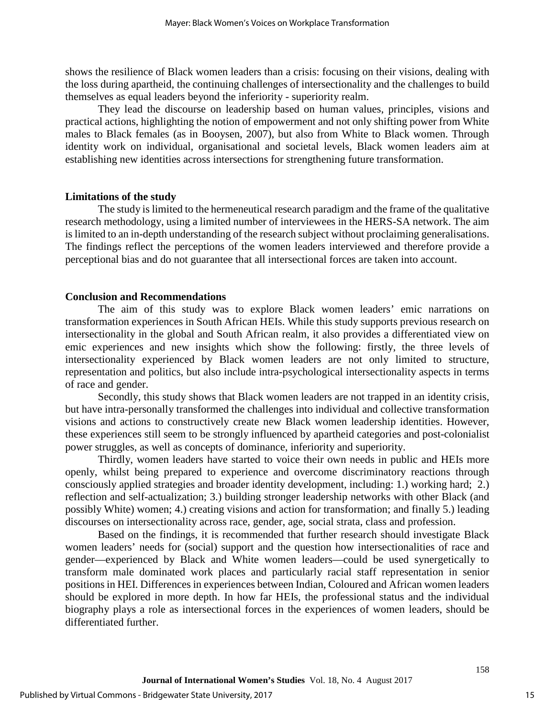shows the resilience of Black women leaders than a crisis: focusing on their visions, dealing with the loss during apartheid, the continuing challenges of intersectionality and the challenges to build themselves as equal leaders beyond the inferiority - superiority realm.

They lead the discourse on leadership based on human values, principles, visions and practical actions, highlighting the notion of empowerment and not only shifting power from White males to Black females (as in Booysen, 2007), but also from White to Black women. Through identity work on individual, organisational and societal levels, Black women leaders aim at establishing new identities across intersections for strengthening future transformation.

#### **Limitations of the study**

The study is limited to the hermeneutical research paradigm and the frame of the qualitative research methodology, using a limited number of interviewees in the HERS-SA network. The aim is limited to an in-depth understanding of the research subject without proclaiming generalisations. The findings reflect the perceptions of the women leaders interviewed and therefore provide a perceptional bias and do not guarantee that all intersectional forces are taken into account.

### **Conclusion and Recommendations**

The aim of this study was to explore Black women leaders' emic narrations on transformation experiences in South African HEIs. While this study supports previous research on intersectionality in the global and South African realm, it also provides a differentiated view on emic experiences and new insights which show the following: firstly, the three levels of intersectionality experienced by Black women leaders are not only limited to structure, representation and politics, but also include intra-psychological intersectionality aspects in terms of race and gender.

Secondly, this study shows that Black women leaders are not trapped in an identity crisis, but have intra-personally transformed the challenges into individual and collective transformation visions and actions to constructively create new Black women leadership identities. However, these experiences still seem to be strongly influenced by apartheid categories and post-colonialist power struggles, as well as concepts of dominance, inferiority and superiority.

Thirdly, women leaders have started to voice their own needs in public and HEIs more openly, whilst being prepared to experience and overcome discriminatory reactions through consciously applied strategies and broader identity development, including: 1.) working hard; 2.) reflection and self-actualization; 3.) building stronger leadership networks with other Black (and possibly White) women; 4.) creating visions and action for transformation; and finally 5.) leading discourses on intersectionality across race, gender, age, social strata, class and profession.

Based on the findings, it is recommended that further research should investigate Black women leaders' needs for (social) support and the question how intersectionalities of race and gender—experienced by Black and White women leaders—could be used synergetically to transform male dominated work places and particularly racial staff representation in senior positions in HEI. Differences in experiences between Indian, Coloured and African women leaders should be explored in more depth. In how far HEIs, the professional status and the individual biography plays a role as intersectional forces in the experiences of women leaders, should be differentiated further.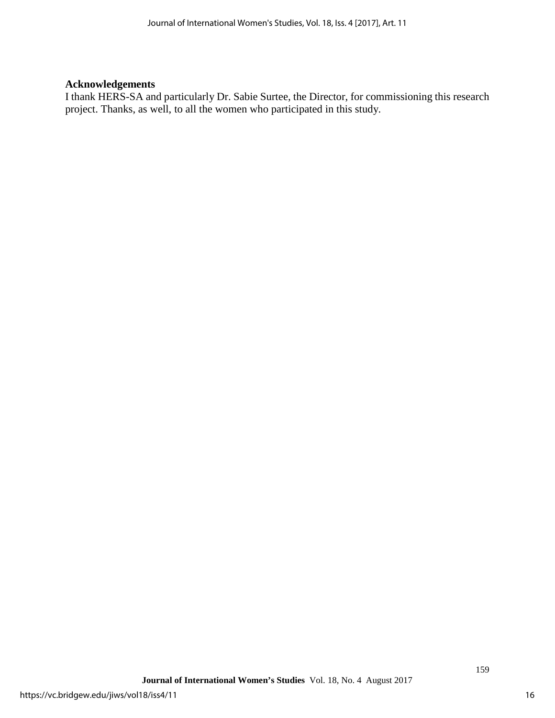## **Acknowledgements**

I thank HERS-SA and particularly Dr. Sabie Surtee, the Director, for commissioning this research project. Thanks, as well, to all the women who participated in this study.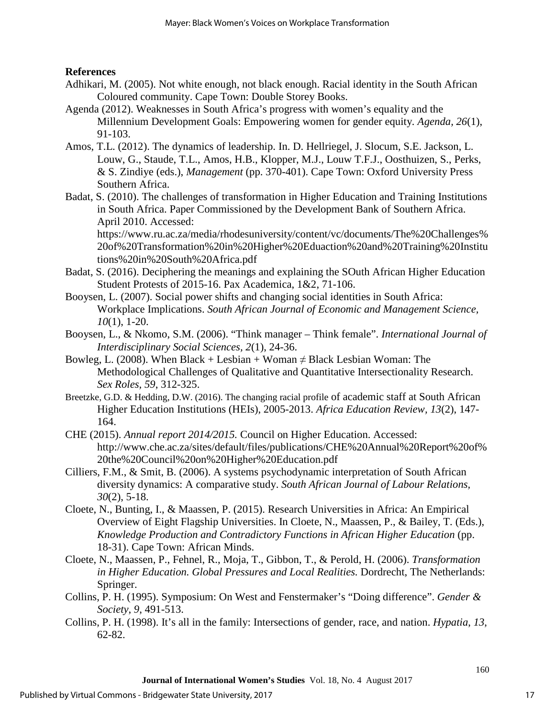## **References**

- Adhikari, M. (2005). Not white enough, not black enough. Racial identity in the South African Coloured community. Cape Town: Double Storey Books.
- Agenda (2012). Weaknesses in South Africa's progress with women's equality and the Millennium Development Goals: Empowering women for gender equity*. Agenda, 26*(1), 91-103.
- Amos, T.L. (2012). The dynamics of leadership. In. D. Hellriegel, J. Slocum, S.E. Jackson, L. Louw, G., Staude, T.L., Amos, H.B., Klopper, M.J., Louw T.F.J., Oosthuizen, S., Perks, & S. Zindiye (eds.), *Management* (pp. 370-401). Cape Town: Oxford University Press Southern Africa.
- Badat, S. (2010). The challenges of transformation in Higher Education and Training Institutions in South Africa. Paper Commissioned by the Development Bank of Southern Africa. April 2010. Accessed:

https://www.ru.ac.za/media/rhodesuniversity/content/vc/documents/The%20Challenges% 20of%20Transformation%20in%20Higher%20Eduaction%20and%20Training%20Institu tions%20in%20South%20Africa.pdf

- Badat, S. (2016). Deciphering the meanings and explaining the SOuth African Higher Education Student Protests of 2015-16. Pax Academica, 1&2, 71-106.
- Booysen, L. (2007). Social power shifts and changing social identities in South Africa: Workplace Implications. *South African Journal of Economic and Management Science, 10*(1), 1-20.
- Booysen, L., & Nkomo, S.M. (2006). "Think manager Think female". *International Journal of Interdisciplinary Social Sciences, 2*(1), 24-36.
- Bowleg, L. (2008). When Black + Lesbian + Woman  $\neq$  Black Lesbian Woman: The Methodological Challenges of Qualitative and Quantitative Intersectionality Research. *Sex Roles, 59*, 312-325.
- Breetzke, G.D. & Hedding, D.W. (2016). The changing racial profile of academic staff at South African Higher Education Institutions (HEIs), 2005-2013. *Africa Education Review, 13*(2), 147- 164.
- CHE (2015). *Annual report 2014/2015.* Council on Higher Education. Accessed: http://www.che.ac.za/sites/default/files/publications/CHE%20Annual%20Report%20of% 20the%20Council%20on%20Higher%20Education.pdf
- Cilliers, F.M., & Smit, B. (2006). A systems psychodynamic interpretation of South African diversity dynamics: A comparative study. *South African Journal of Labour Relations, 30*(2), 5-18.
- Cloete, N., Bunting, I., & Maassen, P. (2015). Research Universities in Africa: An Empirical Overview of Eight Flagship Universities. In Cloete, N., Maassen, P., & Bailey, T. (Eds.), *Knowledge Production and Contradictory Functions in African Higher Education* (pp. 18-31). Cape Town: African Minds.
- Cloete, N., Maassen, P., Fehnel, R., Moja, T., Gibbon, T., & Perold, H. (2006). *Transformation in Higher Education. Global Pressures and Local Realities.* Dordrecht, The Netherlands: Springer.
- Collins, P. H. (1995). Symposium: On West and Fenstermaker's "Doing difference". *Gender & Society*, *9*, 491-513.
- Collins, P. H. (1998). It's all in the family: Intersections of gender, race, and nation. *Hypatia*, *13*, 62-82.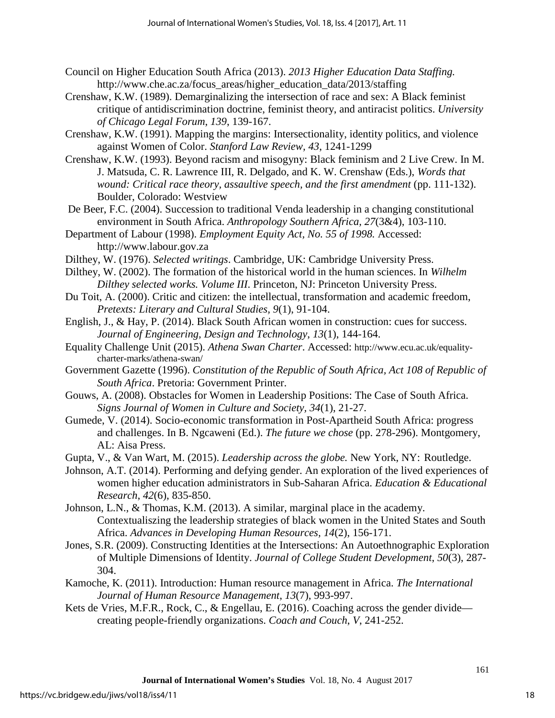- Council on Higher Education South Africa (2013). *2013 Higher Education Data Staffing.* http://www.che.ac.za/focus\_areas/higher\_education\_data/2013/staffing
- Crenshaw, K.W. (1989). Demarginalizing the intersection of race and sex: A Black feminist critique of antidiscrimination doctrine, feminist theory, and antiracist politics. *University of Chicago Legal Forum*, *139*, 139-167.
- Crenshaw, K.W. (1991). Mapping the margins: Intersectionality, identity politics, and violence against Women of Color. *Stanford Law Review, 43*, 1241-1299
- Crenshaw, K.W. (1993). Beyond racism and misogyny: Black feminism and 2 Live Crew. In M. J. Matsuda, C. R. Lawrence III, R. Delgado, and K. W. Crenshaw (Eds.), *Words that wound: Critical race theory, assaultive speech, and the first amendment* (pp. 111-132). Boulder, Colorado: Westview
- De Beer, F.C. (2004). Succession to traditional Venda leadership in a changing constitutional environment in South Africa. *Anthropology Southern Africa, 27*(3&4), 103-110.
- Department of Labour (1998). *Employment Equity Act, No. 55 of 1998.* Accessed: http://www.labour.gov.za
- Dilthey, W. (1976). *Selected writings*. Cambridge, UK: Cambridge University Press.
- Dilthey, W. (2002). The formation of the historical world in the human sciences. In *Wilhelm Dilthey selected works. Volume III*. Princeton, NJ: Princeton University Press.
- Du Toit, A. (2000). Critic and citizen: the intellectual, transformation and academic freedom, *Pretexts: Literary and Cultural Studies, 9*(1), 91-104.
- English, J., & Hay, P. (2014). Black South African women in construction: cues for success. *Journal of Engineering, Design and Technology*, *13*(1), 144-164.
- Equality Challenge Unit (2015). *Athena Swan Charter*. Accessed: http://www.ecu.ac.uk/equalitycharter-marks/athena-swan/
- Government Gazette (1996). *Constitution of the Republic of South Africa, Act 108 of Republic of South Africa*. Pretoria: Government Printer.
- Gouws, A. (2008). Obstacles for Women in Leadership Positions: The Case of South Africa. *Signs Journal of Women in Culture and Society, 34*(1), 21-27.
- Gumede, V. (2014). Socio-economic transformation in Post-Apartheid South Africa: progress and challenges. In B. Ngcaweni (Ed.). *The future we chose* (pp. 278-296). Montgomery, AL: Aisa Press.
- Gupta, V., & Van Wart, M. (2015). *Leadership across the globe.* New York, NY: Routledge.
- Johnson, A.T. (2014). Performing and defying gender. An exploration of the lived experiences of women higher education administrators in Sub-Saharan Africa. *Education & Educational Research*, *42*(6), 835-850.
- Johnson, L.N., & Thomas, K.M. (2013). A similar, marginal place in the academy. Contextualiszing the leadership strategies of black women in the United States and South Africa. *Advances in Developing Human Resources, 14*(2), 156-171.
- Jones, S.R. (2009). Constructing Identities at the Intersections: An Autoethnographic Exploration of Multiple Dimensions of Identity. *Journal of College Student Development*, *50*(3), 287- 304.
- Kamoche, K. (2011). Introduction: Human resource management in Africa. *The International Journal of Human Resource Management*, *13*(7), 993-997.
- Kets de Vries, M.F.R., Rock, C., & Engellau, E. (2016). Coaching across the gender divide creating people-friendly organizations. *Coach and Couch*, *V*, 241-252.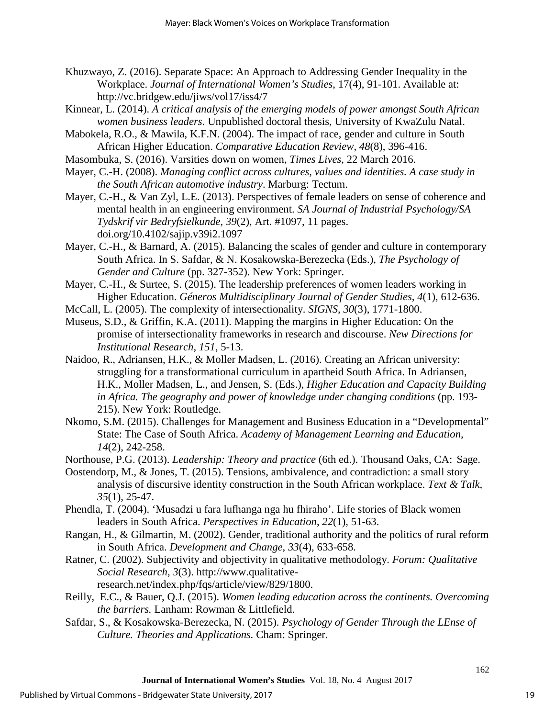- Khuzwayo, Z. (2016). Separate Space: An Approach to Addressing Gender Inequality in the Workplace. *Journal of International Women's Studies*, 17(4), 91-101. Available at: http://vc.bridgew.edu/jiws/vol17/iss4/7
- Kinnear, L. (2014). *A critical analysis of the emerging models of power amongst South African women business leaders*. Unpublished doctoral thesis, University of KwaZulu Natal.
- Mabokela, R.O., & Mawila, K.F.N. (2004). The impact of race, gender and culture in South African Higher Education. *Comparative Education Review*, *48*(8), 396-416.
- Masombuka, S. (2016). Varsities down on women, *Times Lives*, 22 March 2016.
- Mayer, C.-H. (2008). *Managing conflict across cultures, values and identities. A case study in the South African automotive industry*. Marburg: Tectum.
- Mayer, C.-H., & Van Zyl, L.E. (2013). Perspectives of female leaders on sense of coherence and mental health in an engineering environment. *SA Journal of Industrial Psychology/SA Tydskrif vir Bedryfsielkunde*, *39*(2), Art. #1097, 11 pages. doi.org/10.4102/sajip.v39i2.1097
- Mayer, C.-H., & Barnard, A. (2015). Balancing the scales of gender and culture in contemporary South Africa. In S. Safdar, & N. Kosakowska-Berezecka (Eds.), *The Psychology of Gender and Culture* (pp. 327-352). New York: Springer.
- Mayer, C.-H., & Surtee, S. (2015). The leadership preferences of women leaders working in Higher Education. *Géneros Multidisciplinary Journal of Gender Studies, 4*(1), 612-636.
- McCall, L. (2005). The complexity of intersectionality. *SIGNS, 30*(3), 1771-1800.
- Museus, S.D., & Griffin, K.A. (2011). Mapping the margins in Higher Education: On the promise of intersectionality frameworks in research and discourse. *New Directions for Institutional Research, 151*, 5-13.
- Naidoo, R., Adriansen, H.K., & Moller Madsen, L. (2016). Creating an African university: struggling for a transformational curriculum in apartheid South Africa. In Adriansen, H.K., Moller Madsen, L., and Jensen, S. (Eds.), *Higher Education and Capacity Building in Africa. The geography and power of knowledge under changing conditions* (pp. 193- 215). New York: Routledge.
- Nkomo, S.M. (2015). Challenges for Management and Business Education in a "Developmental" State: The Case of South Africa. *Academy of Management Learning and Education, 14*(2), 242-258.
- Northouse, P.G. (2013). *Leadership: Theory and practice* (6th ed.). Thousand Oaks, CA: Sage.
- Oostendorp, M., & Jones, T. (2015). Tensions, ambivalence, and contradiction: a small story analysis of discursive identity construction in the South African workplace. *Text & Talk, 35*(1), 25-47.
- Phendla, T. (2004). 'Musadzi u fara lufhanga nga hu fhiraho'. Life stories of Black women leaders in South Africa. *Perspectives in Education*, *22*(1), 51-63.
- Rangan, H., & Gilmartin, M. (2002). Gender, traditional authority and the politics of rural reform in South Africa. *Development and Change*, *33*(4), 633-658.
- Ratner, C. (2002). Subjectivity and objectivity in qualitative methodology. *Forum: Qualitative Social Research, 3*(3). http://www.qualitative
	- research.net/index.php/fqs/article/view/829/1800.
- Reilly, E.C., & Bauer, Q.J. (2015). *Women leading education across the continents. Overcoming the barriers.* Lanham: Rowman & Littlefield.
- Safdar, S., & Kosakowska-Berezecka, N. (2015). *Psychology of Gender Through the LEnse of Culture. Theories and Applications.* Cham: Springer.